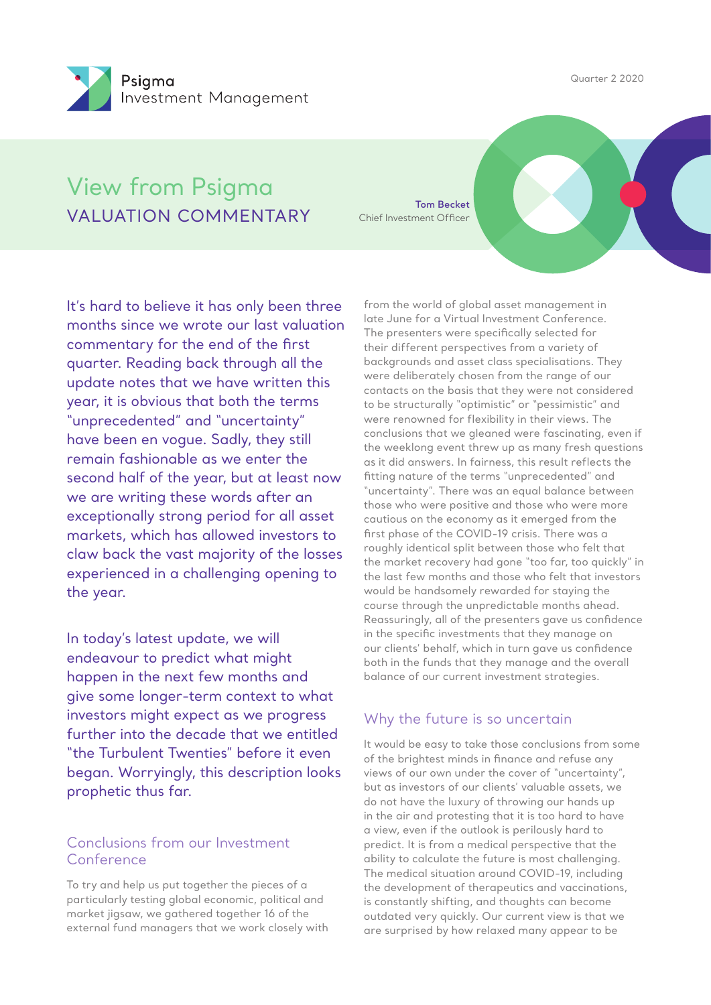Quarter 2 2020



# View from Psigma VALUATION COMMENTARY

**Tom Becket** Chief Investment Officer

It's hard to believe it has only been three months since we wrote our last valuation commentary for the end of the first quarter. Reading back through all the update notes that we have written this year, it is obvious that both the terms "unprecedented" and "uncertainty" have been en vogue. Sadly, they still remain fashionable as we enter the second half of the year, but at least now we are writing these words after an exceptionally strong period for all asset markets, which has allowed investors to claw back the vast majority of the losses experienced in a challenging opening to the year.

In today's latest update, we will endeavour to predict what might happen in the next few months and give some longer-term context to what investors might expect as we progress further into the decade that we entitled "the Turbulent Twenties" before it even began. Worryingly, this description looks prophetic thus far.

# Conclusions from our Investment Conference

To try and help us put together the pieces of a particularly testing global economic, political and market jigsaw, we gathered together 16 of the external fund managers that we work closely with

from the world of global asset management in late June for a Virtual Investment Conference. The presenters were specifically selected for their different perspectives from a variety of backgrounds and asset class specialisations. They were deliberately chosen from the range of our contacts on the basis that they were not considered to be structurally "optimistic" or "pessimistic" and were renowned for flexibility in their views. The conclusions that we gleaned were fascinating, even if the weeklong event threw up as many fresh questions as it did answers. In fairness, this result reflects the fitting nature of the terms "unprecedented" and "uncertainty". There was an equal balance between those who were positive and those who were more cautious on the economy as it emerged from the first phase of the COVID-19 crisis. There was a roughly identical split between those who felt that the market recovery had gone "too far, too quickly" in the last few months and those who felt that investors would be handsomely rewarded for staying the course through the unpredictable months ahead. Reassuringly, all of the presenters gave us confidence in the specific investments that they manage on our clients' behalf, which in turn gave us confidence both in the funds that they manage and the overall balance of our current investment strategies.

# Why the future is so uncertain

It would be easy to take those conclusions from some of the brightest minds in finance and refuse any views of our own under the cover of "uncertainty", but as investors of our clients' valuable assets, we do not have the luxury of throwing our hands up in the air and protesting that it is too hard to have a view, even if the outlook is perilously hard to predict. It is from a medical perspective that the ability to calculate the future is most challenging. The medical situation around COVID-19, including the development of therapeutics and vaccinations, is constantly shifting, and thoughts can become outdated very quickly. Our current view is that we are surprised by how relaxed many appear to be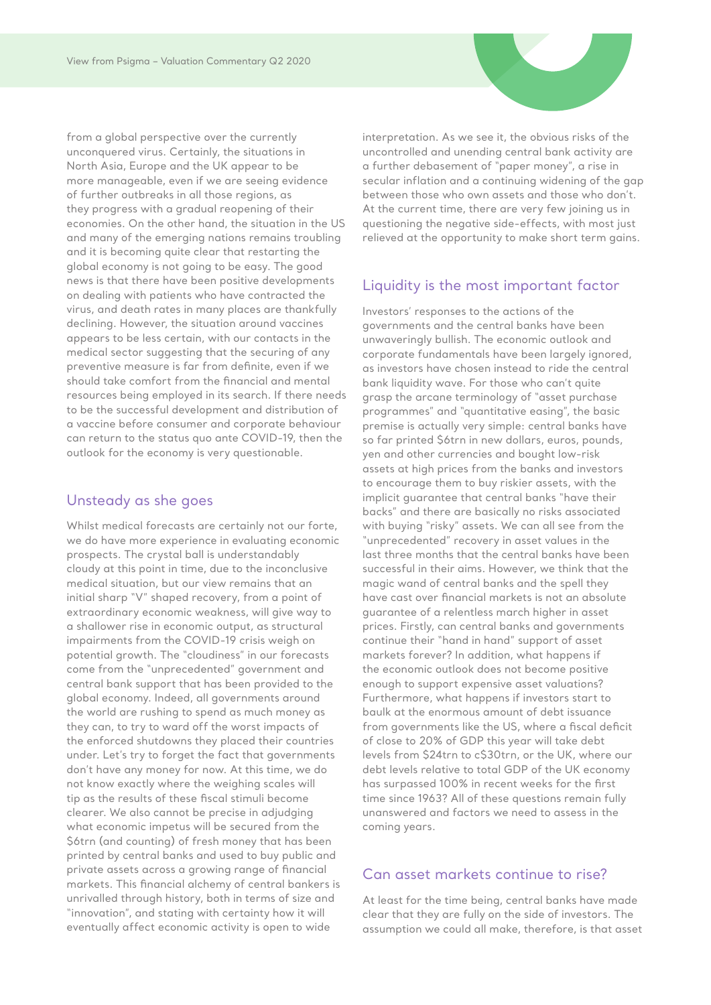from a global perspective over the currently unconquered virus. Certainly, the situations in North Asia, Europe and the UK appear to be more manageable, even if we are seeing evidence of further outbreaks in all those regions, as they progress with a gradual reopening of their economies. On the other hand, the situation in the US and many of the emerging nations remains troubling and it is becoming quite clear that restarting the global economy is not going to be easy. The good news is that there have been positive developments on dealing with patients who have contracted the virus, and death rates in many places are thankfully declining. However, the situation around vaccines appears to be less certain, with our contacts in the medical sector suggesting that the securing of any preventive measure is far from definite, even if we should take comfort from the financial and mental resources being employed in its search. If there needs to be the successful development and distribution of a vaccine before consumer and corporate behaviour can return to the status quo ante COVID-19, then the outlook for the economy is very questionable.

#### Unsteady as she goes

Whilst medical forecasts are certainly not our forte, we do have more experience in evaluating economic prospects. The crystal ball is understandably cloudy at this point in time, due to the inconclusive medical situation, but our view remains that an initial sharp "V" shaped recovery, from a point of extraordinary economic weakness, will give way to a shallower rise in economic output, as structural impairments from the COVID-19 crisis weigh on potential growth. The "cloudiness" in our forecasts come from the "unprecedented" government and central bank support that has been provided to the global economy. Indeed, all governments around the world are rushing to spend as much money as they can, to try to ward off the worst impacts of the enforced shutdowns they placed their countries under. Let's try to forget the fact that governments don't have any money for now. At this time, we do not know exactly where the weighing scales will tip as the results of these fiscal stimuli become clearer. We also cannot be precise in adjudging what economic impetus will be secured from the \$6trn (and counting) of fresh money that has been printed by central banks and used to buy public and private assets across a growing range of financial markets. This financial alchemy of central bankers is unrivalled through history, both in terms of size and "innovation", and stating with certainty how it will eventually affect economic activity is open to wide

interpretation. As we see it, the obvious risks of the uncontrolled and unending central bank activity are a further debasement of "paper money", a rise in secular inflation and a continuing widening of the gap between those who own assets and those who don't. At the current time, there are very few joining us in questioning the negative side-effects, with most just relieved at the opportunity to make short term gains.

#### Liquidity is the most important factor

Investors' responses to the actions of the governments and the central banks have been unwaveringly bullish. The economic outlook and corporate fundamentals have been largely ignored, as investors have chosen instead to ride the central bank liquidity wave. For those who can't quite grasp the arcane terminology of "asset purchase programmes" and "quantitative easing", the basic premise is actually very simple: central banks have so far printed \$6trn in new dollars, euros, pounds, yen and other currencies and bought low-risk assets at high prices from the banks and investors to encourage them to buy riskier assets, with the implicit guarantee that central banks "have their backs" and there are basically no risks associated with buying "risky" assets. We can all see from the "unprecedented" recovery in asset values in the last three months that the central banks have been successful in their aims. However, we think that the magic wand of central banks and the spell they have cast over financial markets is not an absolute guarantee of a relentless march higher in asset prices. Firstly, can central banks and governments continue their "hand in hand" support of asset markets forever? In addition, what happens if the economic outlook does not become positive enough to support expensive asset valuations? Furthermore, what happens if investors start to baulk at the enormous amount of debt issuance from governments like the US, where a fiscal deficit of close to 20% of GDP this year will take debt levels from \$24trn to c\$30trn, or the UK, where our debt levels relative to total GDP of the UK economy has surpassed 100% in recent weeks for the first time since 1963? All of these questions remain fully unanswered and factors we need to assess in the coming years.

#### Can asset markets continue to rise?

At least for the time being, central banks have made clear that they are fully on the side of investors. The assumption we could all make, therefore, is that asset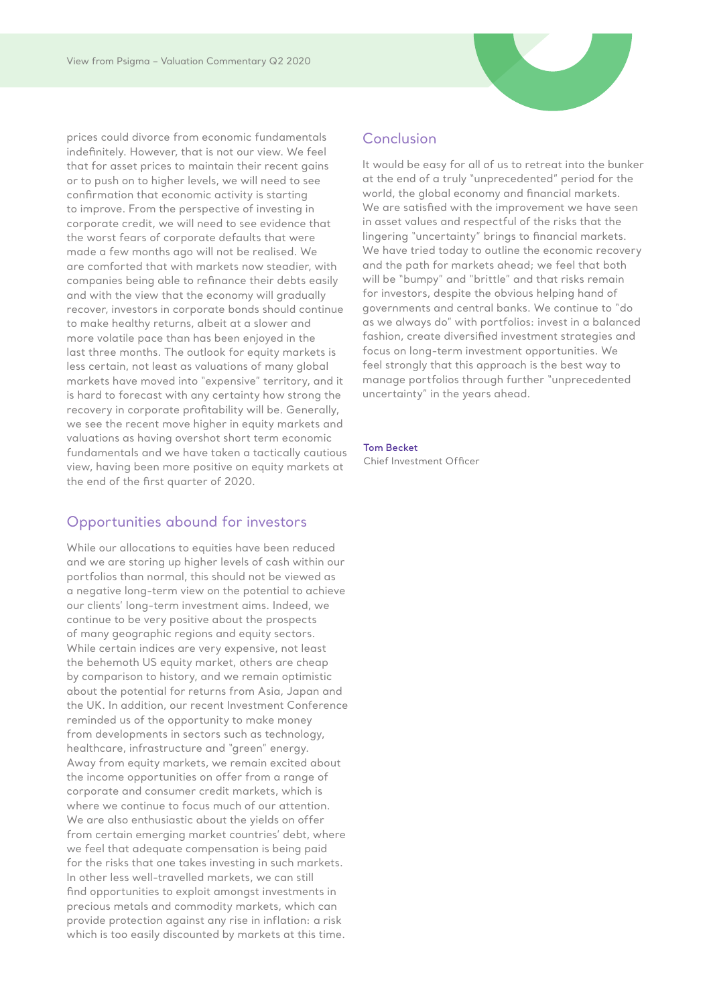prices could divorce from economic fundamentals indefinitely. However, that is not our view. We feel that for asset prices to maintain their recent gains or to push on to higher levels, we will need to see confirmation that economic activity is starting to improve. From the perspective of investing in corporate credit, we will need to see evidence that the worst fears of corporate defaults that were made a few months ago will not be realised. We are comforted that with markets now steadier, with companies being able to refinance their debts easily and with the view that the economy will gradually recover, investors in corporate bonds should continue to make healthy returns, albeit at a slower and more volatile pace than has been enjoyed in the last three months. The outlook for equity markets is less certain, not least as valuations of many global markets have moved into "expensive" territory, and it is hard to forecast with any certainty how strong the recovery in corporate profitability will be. Generally, we see the recent move higher in equity markets and valuations as having overshot short term economic fundamentals and we have taken a tactically cautious view, having been more positive on equity markets at the end of the first quarter of 2020.

## Opportunities abound for investors

While our allocations to equities have been reduced and we are storing up higher levels of cash within our portfolios than normal, this should not be viewed as a negative long-term view on the potential to achieve our clients' long-term investment aims. Indeed, we continue to be very positive about the prospects of many geographic regions and equity sectors. While certain indices are very expensive, not least the behemoth US equity market, others are cheap by comparison to history, and we remain optimistic about the potential for returns from Asia, Japan and the UK. In addition, our recent Investment Conference reminded us of the opportunity to make money from developments in sectors such as technology, healthcare, infrastructure and "green" energy. Away from equity markets, we remain excited about the income opportunities on offer from a range of corporate and consumer credit markets, which is where we continue to focus much of our attention. We are also enthusiastic about the yields on offer from certain emerging market countries' debt, where we feel that adequate compensation is being paid for the risks that one takes investing in such markets. In other less well-travelled markets, we can still find opportunities to exploit amongst investments in precious metals and commodity markets, which can provide protection against any rise in inflation: a risk which is too easily discounted by markets at this time.

### Conclusion

It would be easy for all of us to retreat into the bunker at the end of a truly "unprecedented" period for the world, the global economy and financial markets. We are satisfied with the improvement we have seen in asset values and respectful of the risks that the lingering "uncertainty" brings to financial markets. We have tried today to outline the economic recovery and the path for markets ahead; we feel that both will be "bumpy" and "brittle" and that risks remain for investors, despite the obvious helping hand of governments and central banks. We continue to "do as we always do" with portfolios: invest in a balanced fashion, create diversified investment strategies and focus on long-term investment opportunities. We feel strongly that this approach is the best way to manage portfolios through further "unprecedented uncertainty" in the years ahead.

#### **Tom Becket**

Chief Investment Officer